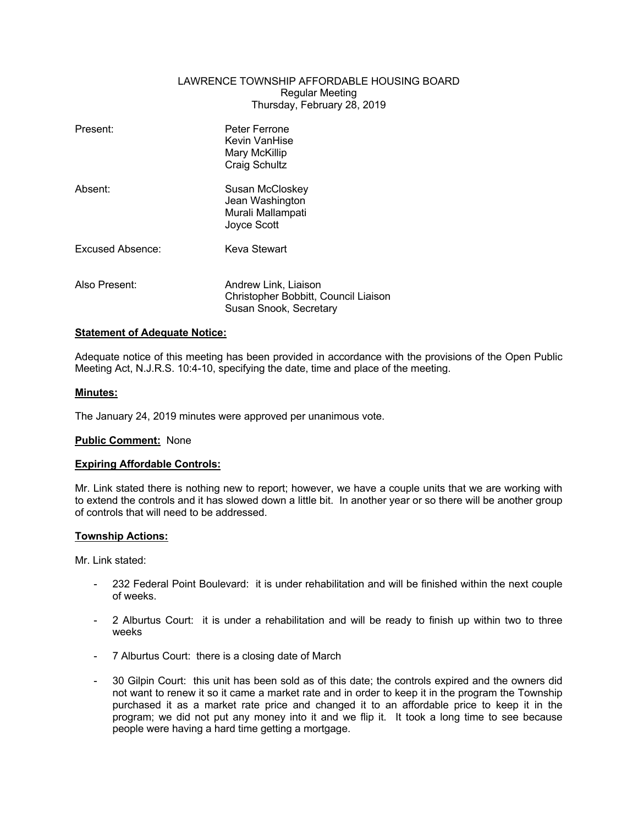# LAWRENCE TOWNSHIP AFFORDABLE HOUSING BOARD Regular Meeting Thursday, February 28, 2019

| Present:         | Peter Ferrone<br>Kevin VanHise<br>Mary McKillip<br><b>Craig Schultz</b>                |
|------------------|----------------------------------------------------------------------------------------|
| Absent:          | Susan McCloskey<br>Jean Washington<br>Murali Mallampati<br>Joyce Scott                 |
| Excused Absence: | Keva Stewart                                                                           |
| Also Present:    | Andrew Link, Liaison<br>Christopher Bobbitt, Council Liaison<br>Susan Snook, Secretary |

# **Statement of Adequate Notice:**

Adequate notice of this meeting has been provided in accordance with the provisions of the Open Public Meeting Act, N.J.R.S. 10:4-10, specifying the date, time and place of the meeting.

## **Minutes:**

The January 24, 2019 minutes were approved per unanimous vote.

### **Public Comment:** None

### **Expiring Affordable Controls:**

Mr. Link stated there is nothing new to report; however, we have a couple units that we are working with to extend the controls and it has slowed down a little bit. In another year or so there will be another group of controls that will need to be addressed.

### **Township Actions:**

Mr. Link stated:

- 232 Federal Point Boulevard: it is under rehabilitation and will be finished within the next couple of weeks.
- 2 Alburtus Court: it is under a rehabilitation and will be ready to finish up within two to three weeks
- 7 Alburtus Court: there is a closing date of March
- 30 Gilpin Court: this unit has been sold as of this date; the controls expired and the owners did not want to renew it so it came a market rate and in order to keep it in the program the Township purchased it as a market rate price and changed it to an affordable price to keep it in the program; we did not put any money into it and we flip it. It took a long time to see because people were having a hard time getting a mortgage.